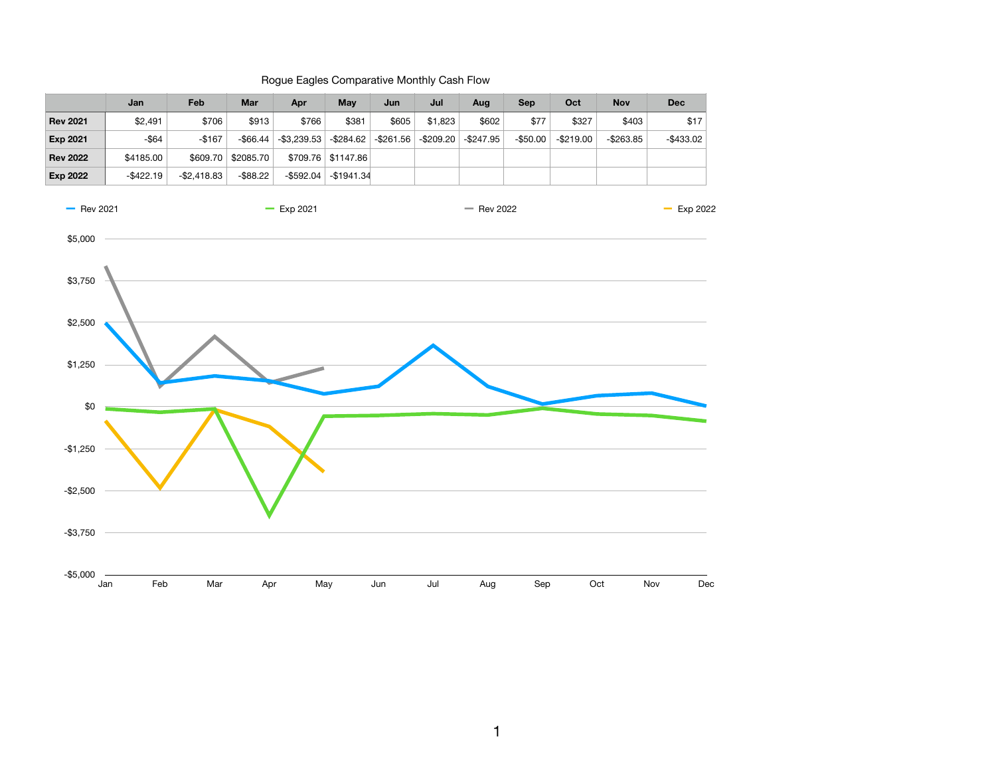## Rogue Eagles Comparative Monthly Cash Flow

|                 | Jan        | Feb            | <b>Mar</b>  | Apr            | <b>May</b>               | Jun          | Jul        | Aug          | <b>Sep</b>  | Oct        | <b>Nov</b> | <b>Dec</b>         |
|-----------------|------------|----------------|-------------|----------------|--------------------------|--------------|------------|--------------|-------------|------------|------------|--------------------|
| <b>Rev 2021</b> | \$2,491    | \$706          | \$913       | \$766          | \$381                    | \$605        | \$1,823    | \$602        | \$77        | \$327      | \$403      | \$17               |
| <b>Exp 2021</b> | $-$ \$64   | $-$167$        | $-$ \$66.44 | $-$ \$3,239.53 | $-$ \$284.62             | $-$ \$261.56 | $-$209.20$ | $-$247.95$   | $-$ \$50.00 | $-$219.00$ | $-$263.85$ | $-$433.02$         |
| <b>Rev 2022</b> | \$4185.00  | \$609.70       | \$2085.70   |                | $$709.76$ \$1147.86      |              |            |              |             |            |            |                    |
| <b>Exp 2022</b> | $-$422.19$ | $-$ \$2,418.83 | $-$ \$88.22 |                | $-$ \$592.04 - \$1941.34 |              |            |              |             |            |            |                    |
| $-$ Rev 2021    |            |                |             | $-$ Exp 2021   |                          |              |            | $-$ Rev 2022 |             |            |            | Exp 2022<br>$\sim$ |
| \$5,000         |            |                |             |                |                          |              |            |              |             |            |            |                    |
| \$3,750         |            |                |             |                |                          |              |            |              |             |            |            |                    |
| \$2,500         |            |                |             |                |                          |              |            |              |             |            |            |                    |
| \$1,250         |            |                |             |                |                          |              |            |              |             |            |            |                    |
| \$0             |            |                |             |                |                          |              |            |              |             |            |            |                    |
| $-$1,250$       |            |                |             |                |                          |              |            |              |             |            |            |                    |
| $-$2,500$       |            |                |             |                |                          |              |            |              |             |            |            |                    |
|                 |            |                |             |                |                          |              |            |              |             |            |            |                    |
| $-$ \$3,750     |            |                |             |                |                          |              |            |              |             |            |            |                    |
|                 |            |                |             |                |                          |              |            |              |             |            |            |                    |
|                 |            |                |             |                |                          |              |            |              |             |            |            |                    |
| $-$ \$5,000     | Feb<br>Jan | Mar            | Apr         |                | May                      | Jun          | Jul        | Aug          | Sep         |            | Oct        | Dec<br>Nov         |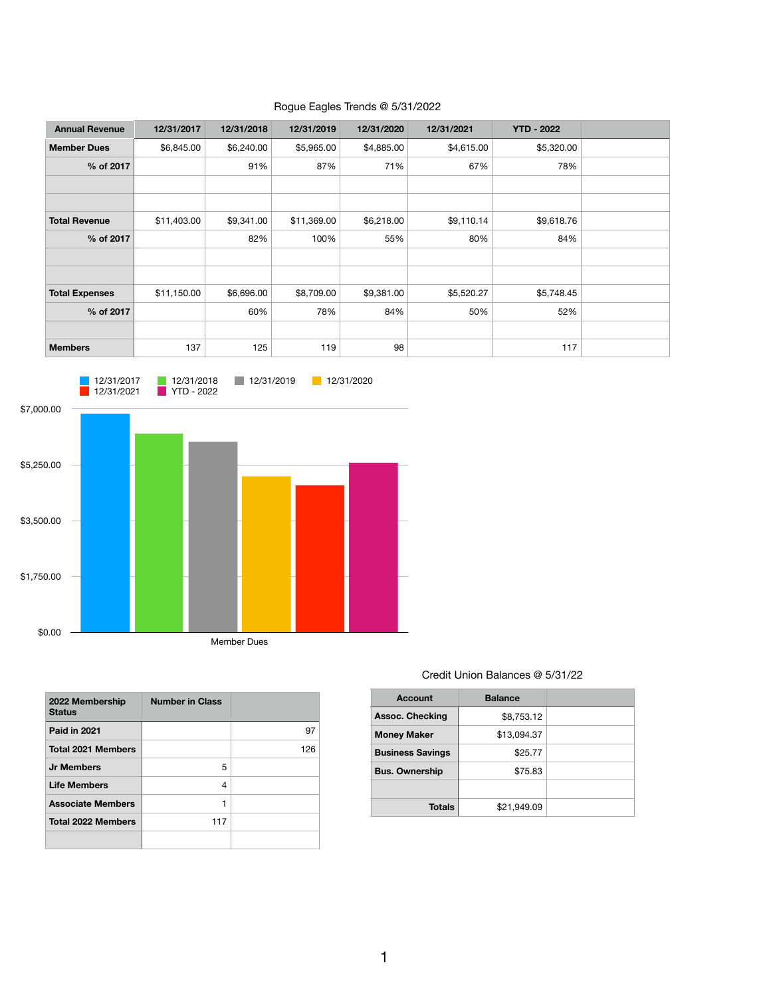| <b>Annual Revenue</b> | 12/31/2017  | 12/31/2018 | 12/31/2019  | 12/31/2020 | 12/31/2021 | <b>YTD - 2022</b> |  |
|-----------------------|-------------|------------|-------------|------------|------------|-------------------|--|
| <b>Member Dues</b>    | \$6,845.00  | \$6,240.00 | \$5,965.00  | \$4,885.00 | \$4,615.00 | \$5,320.00        |  |
| % of 2017             |             | 91%        | 87%         | 71%        | 67%        | 78%               |  |
|                       |             |            |             |            |            |                   |  |
|                       |             |            |             |            |            |                   |  |
| <b>Total Revenue</b>  | \$11,403.00 | \$9,341.00 | \$11,369.00 | \$6,218.00 | \$9,110.14 | \$9,618.76        |  |
| % of 2017             |             | 82%        | 100%        | 55%        | 80%        | 84%               |  |
|                       |             |            |             |            |            |                   |  |
|                       |             |            |             |            |            |                   |  |
| <b>Total Expenses</b> | \$11,150.00 | \$6,696.00 | \$8,709.00  | \$9,381.00 | \$5,520.27 | \$5,748.45        |  |
| % of 2017             |             | 60%        | 78%         | 84%        | 50%        | 52%               |  |
|                       |             |            |             |            |            |                   |  |
| <b>Members</b>        | 137         | 125        | 119         | 98         |            | 117               |  |

## Rogue Eagles Trends @ 5/31/2022



| 2022 Membership<br><b>Status</b> | <b>Number in Class</b> |     |
|----------------------------------|------------------------|-----|
| <b>Paid in 2021</b>              |                        | 97  |
| <b>Total 2021 Members</b>        |                        | 126 |
| <b>Jr Members</b>                | 5                      |     |
| <b>Life Members</b>              | 4                      |     |
| <b>Associate Members</b>         | 1                      |     |
| <b>Total 2022 Members</b>        | 117                    |     |
|                                  |                        |     |

## Credit Union Balances @ 5/31/22

| <b>Account</b>          | <b>Balance</b> |
|-------------------------|----------------|
| <b>Assoc. Checking</b>  | \$8,753.12     |
| <b>Money Maker</b>      | \$13,094.37    |
| <b>Business Savings</b> | \$25.77        |
| <b>Bus. Ownership</b>   | \$75.83        |
|                         |                |
| <b>Totals</b>           | \$21,949.09    |